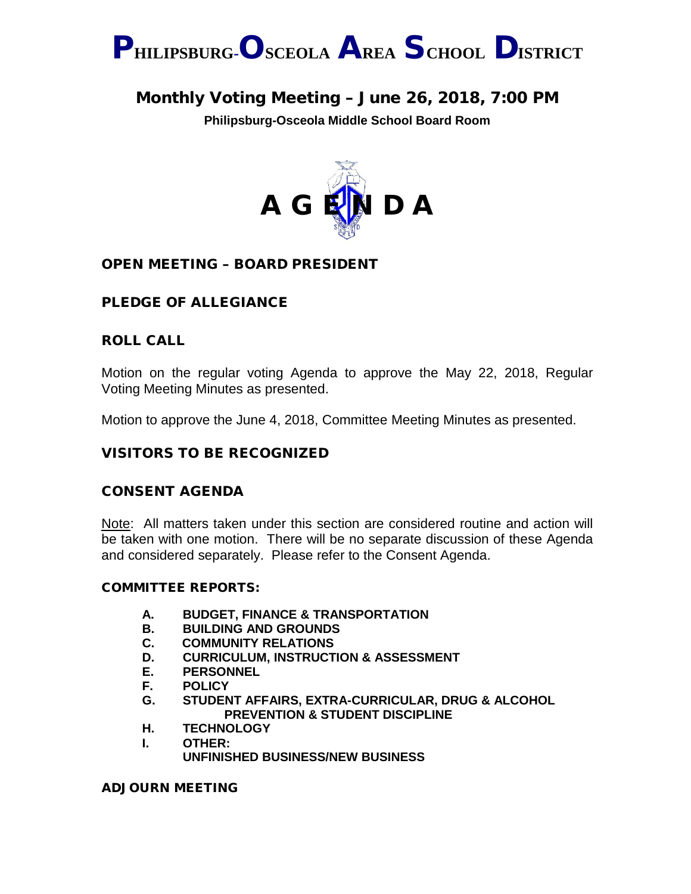

# Monthly Voting Meeting – June 26, 2018, 7:00 PM

**Philipsburg-Osceola Middle School Board Room**



### OPEN MEETING – BOARD PRESIDENT

### PLEDGE OF ALLEGIANCE

### ROLL CALL

Motion on the regular voting Agenda to approve the May 22, 2018, Regular Voting Meeting Minutes as presented.

Motion to approve the June 4, 2018, Committee Meeting Minutes as presented.

### VISITORS TO BE RECOGNIZED

### CONSENT AGENDA

Note: All matters taken under this section are considered routine and action will be taken with one motion. There will be no separate discussion of these Agenda and considered separately. Please refer to the Consent Agenda.

### COMMITTEE REPORTS:

- **A. BUDGET, FINANCE & TRANSPORTATION**
- **B. BUILDING AND GROUNDS**
- **C. COMMUNITY RELATIONS**
- **D. CURRICULUM, INSTRUCTION & ASSESSMENT**
- **E. PERSONNEL**
- **F. POLICY**
- **G. STUDENT AFFAIRS, EXTRA-CURRICULAR, DRUG & ALCOHOL PREVENTION & STUDENT DISCIPLINE**
- **H. TECHNOLOGY**
- **I. OTHER: UNFINISHED BUSINESS/NEW BUSINESS**

ADJOURN MEETING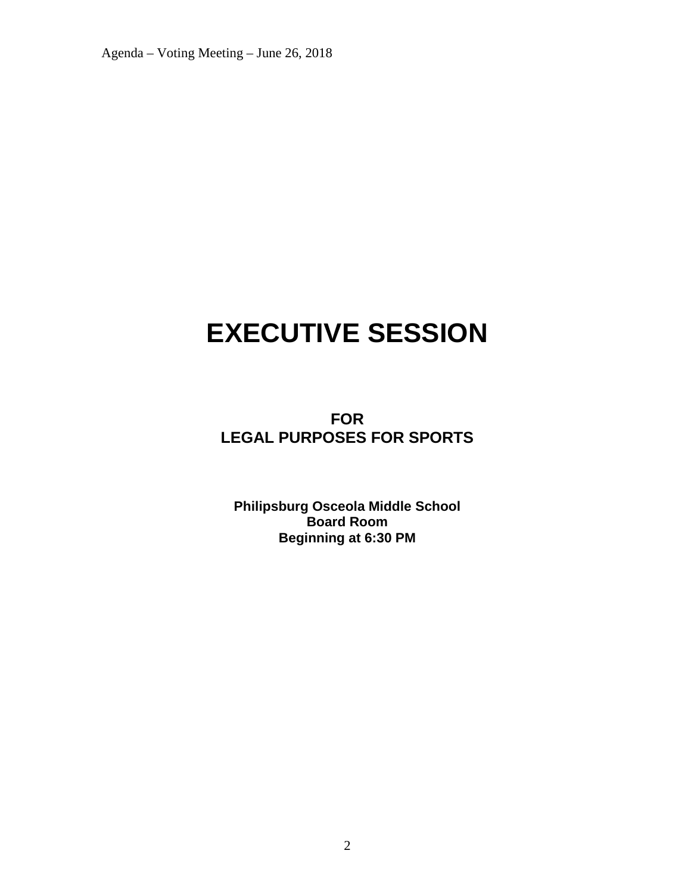Agenda – Voting Meeting – June 26, 2018

# **EXECUTIVE SESSION**

**FOR LEGAL PURPOSES FOR SPORTS**

**Philipsburg Osceola Middle School Board Room Beginning at 6:30 PM**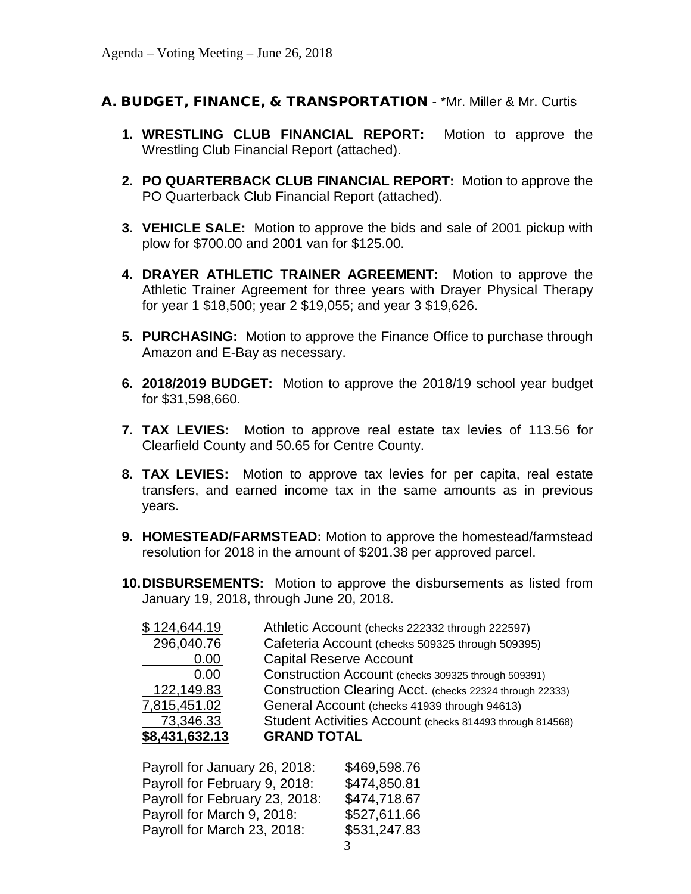### A. BUDGET, FINANCE, & TRANSPORTATION - \*Mr. Miller & Mr. Curtis

- **1. WRESTLING CLUB FINANCIAL REPORT:** Motion to approve the Wrestling Club Financial Report (attached).
- **2. PO QUARTERBACK CLUB FINANCIAL REPORT:** Motion to approve the PO Quarterback Club Financial Report (attached).
- **3. VEHICLE SALE:** Motion to approve the bids and sale of 2001 pickup with plow for \$700.00 and 2001 van for \$125.00.
- **4. DRAYER ATHLETIC TRAINER AGREEMENT:** Motion to approve the Athletic Trainer Agreement for three years with Drayer Physical Therapy for year 1 \$18,500; year 2 \$19,055; and year 3 \$19,626.
- **5. PURCHASING:** Motion to approve the Finance Office to purchase through Amazon and E-Bay as necessary.
- **6. 2018/2019 BUDGET:** Motion to approve the 2018/19 school year budget for \$31,598,660.
- **7. TAX LEVIES:** Motion to approve real estate tax levies of 113.56 for Clearfield County and 50.65 for Centre County.
- **8. TAX LEVIES:** Motion to approve tax levies for per capita, real estate transfers, and earned income tax in the same amounts as in previous years.
- **9. HOMESTEAD/FARMSTEAD:** Motion to approve the homestead/farmstead resolution for 2018 in the amount of \$201.38 per approved parcel.
- **10.DISBURSEMENTS:** Motion to approve the disbursements as listed from January 19, 2018, through June 20, 2018.

| <b>GRAND TOTAL</b>                                        |
|-----------------------------------------------------------|
| Student Activities Account (checks 814493 through 814568) |
| General Account (checks 41939 through 94613)              |
| Construction Clearing Acct. (checks 22324 through 22333)  |
| Construction Account (checks 309325 through 509391)       |
| <b>Capital Reserve Account</b>                            |
| Cafeteria Account (checks 509325 through 509395)          |
| Athletic Account (checks 222332 through 222597)           |
|                                                           |

Payroll for January 26, 2018: \$469,598.76 Payroll for February 9, 2018: \$474,850.81 Payroll for February 23, 2018: \$474,718.67 Payroll for March 9, 2018: \$527,611.66 Payroll for March 23, 2018: \$531,247.83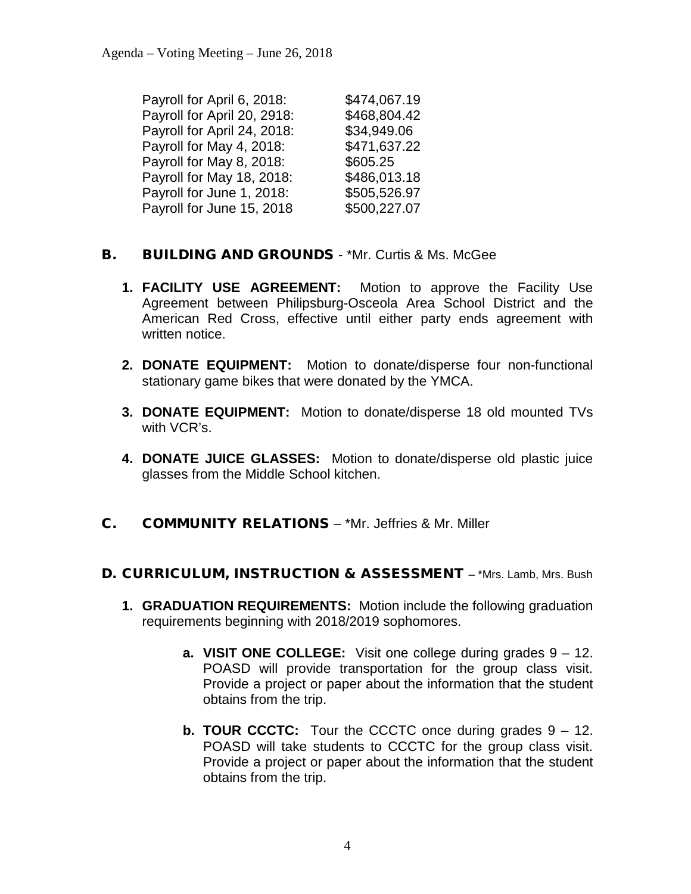| \$474,067.19 |
|--------------|
| \$468,804.42 |
| \$34,949.06  |
| \$471,637.22 |
| \$605.25     |
| \$486,013.18 |
| \$505,526.97 |
| \$500,227.07 |
|              |

### **B.** BUILDING AND GROUNDS - \*Mr. Curtis & Ms. McGee

- **1. FACILITY USE AGREEMENT:** Motion to approve the Facility Use Agreement between Philipsburg-Osceola Area School District and the American Red Cross, effective until either party ends agreement with written notice.
- **2. DONATE EQUIPMENT:** Motion to donate/disperse four non-functional stationary game bikes that were donated by the YMCA.
- **3. DONATE EQUIPMENT:** Motion to donate/disperse 18 old mounted TVs with VCR's.
- **4. DONATE JUICE GLASSES:** Motion to donate/disperse old plastic juice glasses from the Middle School kitchen.
- C. COMMUNITY RELATIONS \*Mr. Jeffries & Mr. Miller

### D. CURRICULUM, INSTRUCTION & ASSESSMENT - \*Mrs. Lamb, Mrs. Bush

- **1. GRADUATION REQUIREMENTS:** Motion include the following graduation requirements beginning with 2018/2019 sophomores.
	- **a. VISIT ONE COLLEGE:** Visit one college during grades 9 12. POASD will provide transportation for the group class visit. Provide a project or paper about the information that the student obtains from the trip.
	- **b. TOUR CCCTC:** Tour the CCCTC once during grades 9 12. POASD will take students to CCCTC for the group class visit. Provide a project or paper about the information that the student obtains from the trip.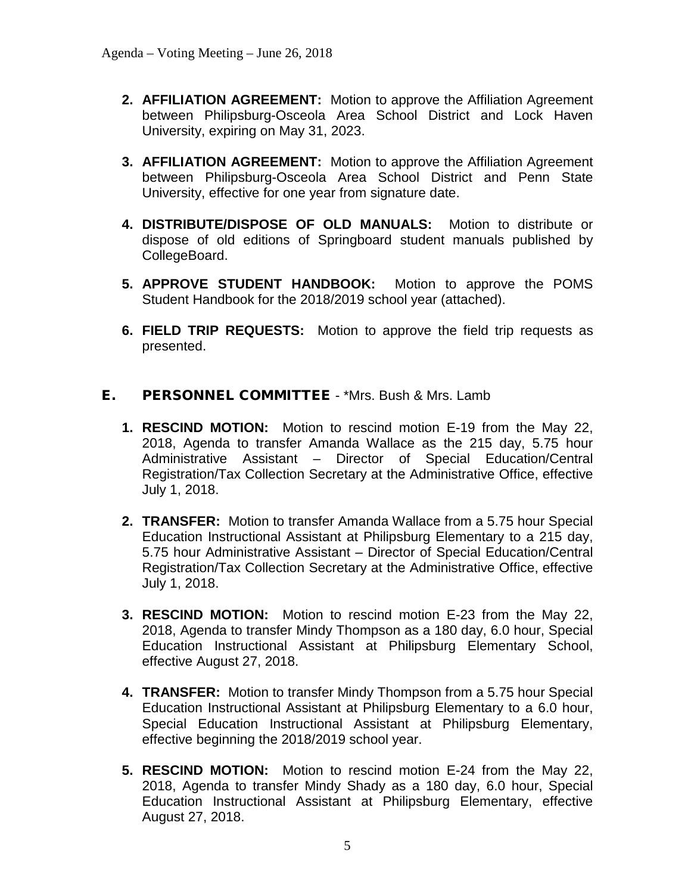- **2. AFFILIATION AGREEMENT:** Motion to approve the Affiliation Agreement between Philipsburg-Osceola Area School District and Lock Haven University, expiring on May 31, 2023.
- **3. AFFILIATION AGREEMENT:** Motion to approve the Affiliation Agreement between Philipsburg-Osceola Area School District and Penn State University, effective for one year from signature date.
- **4. DISTRIBUTE/DISPOSE OF OLD MANUALS:** Motion to distribute or dispose of old editions of Springboard student manuals published by CollegeBoard.
- **5. APPROVE STUDENT HANDBOOK:** Motion to approve the POMS Student Handbook for the 2018/2019 school year (attached).
- **6. FIELD TRIP REQUESTS:** Motion to approve the field trip requests as presented.
- E. PERSONNEL COMMITTEE \*Mrs. Bush & Mrs. Lamb
	- **1. RESCIND MOTION:** Motion to rescind motion E-19 from the May 22, 2018, Agenda to transfer Amanda Wallace as the 215 day, 5.75 hour Administrative Assistant – Director of Special Education/Central Registration/Tax Collection Secretary at the Administrative Office, effective July 1, 2018.
	- **2. TRANSFER:** Motion to transfer Amanda Wallace from a 5.75 hour Special Education Instructional Assistant at Philipsburg Elementary to a 215 day, 5.75 hour Administrative Assistant – Director of Special Education/Central Registration/Tax Collection Secretary at the Administrative Office, effective July 1, 2018.
	- **3. RESCIND MOTION:** Motion to rescind motion E-23 from the May 22, 2018, Agenda to transfer Mindy Thompson as a 180 day, 6.0 hour, Special Education Instructional Assistant at Philipsburg Elementary School, effective August 27, 2018.
	- **4. TRANSFER:** Motion to transfer Mindy Thompson from a 5.75 hour Special Education Instructional Assistant at Philipsburg Elementary to a 6.0 hour, Special Education Instructional Assistant at Philipsburg Elementary, effective beginning the 2018/2019 school year.
	- **5. RESCIND MOTION:** Motion to rescind motion E-24 from the May 22, 2018, Agenda to transfer Mindy Shady as a 180 day, 6.0 hour, Special Education Instructional Assistant at Philipsburg Elementary, effective August 27, 2018.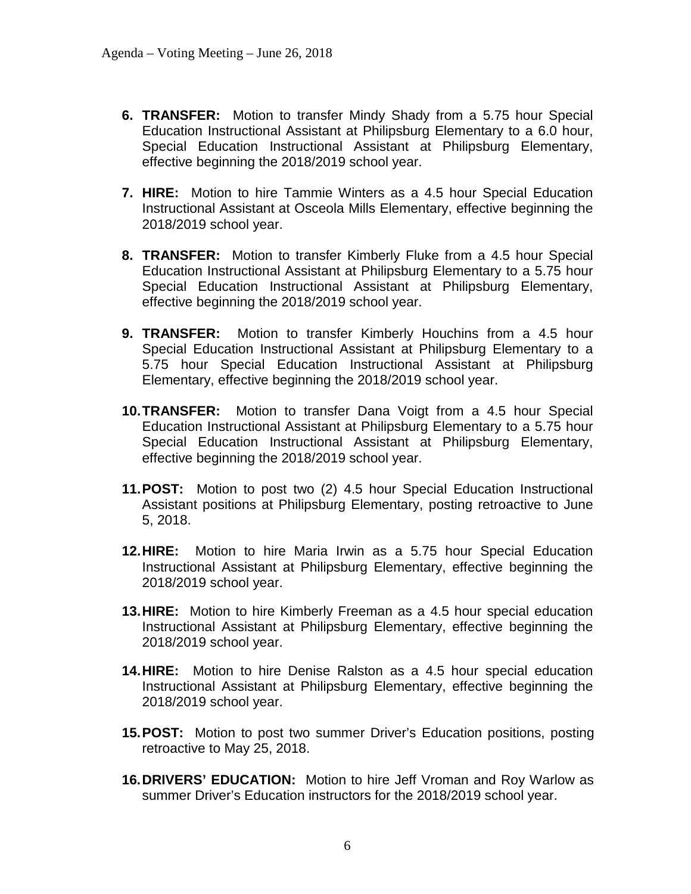- **6. TRANSFER:** Motion to transfer Mindy Shady from a 5.75 hour Special Education Instructional Assistant at Philipsburg Elementary to a 6.0 hour, Special Education Instructional Assistant at Philipsburg Elementary, effective beginning the 2018/2019 school year.
- **7. HIRE:** Motion to hire Tammie Winters as a 4.5 hour Special Education Instructional Assistant at Osceola Mills Elementary, effective beginning the 2018/2019 school year.
- **8. TRANSFER:** Motion to transfer Kimberly Fluke from a 4.5 hour Special Education Instructional Assistant at Philipsburg Elementary to a 5.75 hour Special Education Instructional Assistant at Philipsburg Elementary, effective beginning the 2018/2019 school year.
- **9. TRANSFER:** Motion to transfer Kimberly Houchins from a 4.5 hour Special Education Instructional Assistant at Philipsburg Elementary to a 5.75 hour Special Education Instructional Assistant at Philipsburg Elementary, effective beginning the 2018/2019 school year.
- **10.TRANSFER:** Motion to transfer Dana Voigt from a 4.5 hour Special Education Instructional Assistant at Philipsburg Elementary to a 5.75 hour Special Education Instructional Assistant at Philipsburg Elementary, effective beginning the 2018/2019 school year.
- **11.POST:** Motion to post two (2) 4.5 hour Special Education Instructional Assistant positions at Philipsburg Elementary, posting retroactive to June 5, 2018.
- **12.HIRE:** Motion to hire Maria Irwin as a 5.75 hour Special Education Instructional Assistant at Philipsburg Elementary, effective beginning the 2018/2019 school year.
- **13.HIRE:** Motion to hire Kimberly Freeman as a 4.5 hour special education Instructional Assistant at Philipsburg Elementary, effective beginning the 2018/2019 school year.
- **14.HIRE:** Motion to hire Denise Ralston as a 4.5 hour special education Instructional Assistant at Philipsburg Elementary, effective beginning the 2018/2019 school year.
- **15.POST:** Motion to post two summer Driver's Education positions, posting retroactive to May 25, 2018.
- **16.DRIVERS' EDUCATION:** Motion to hire Jeff Vroman and Roy Warlow as summer Driver's Education instructors for the 2018/2019 school year.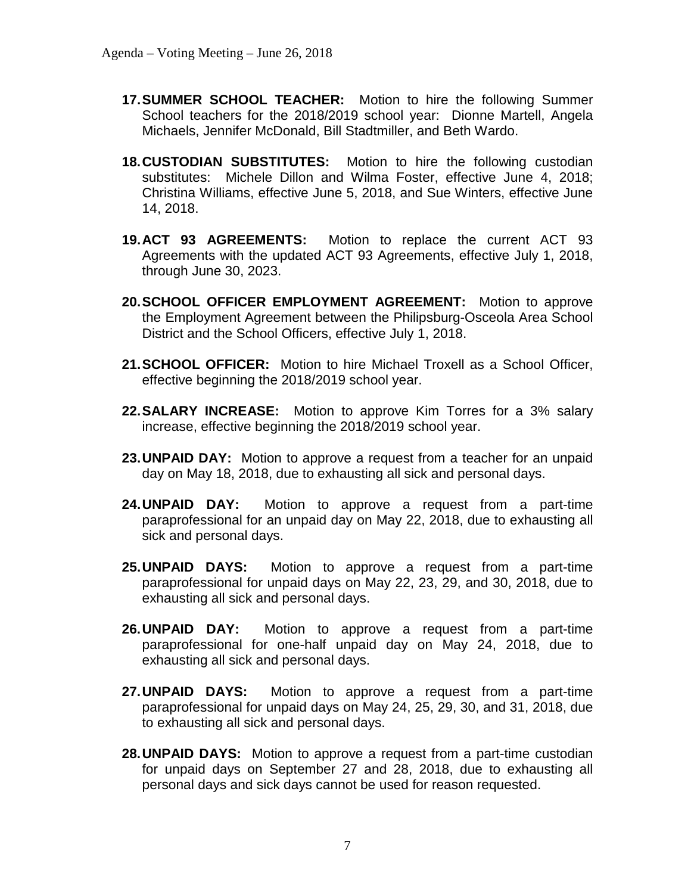- **17.SUMMER SCHOOL TEACHER:** Motion to hire the following Summer School teachers for the 2018/2019 school year: Dionne Martell, Angela Michaels, Jennifer McDonald, Bill Stadtmiller, and Beth Wardo.
- **18.CUSTODIAN SUBSTITUTES:** Motion to hire the following custodian substitutes: Michele Dillon and Wilma Foster, effective June 4, 2018; Christina Williams, effective June 5, 2018, and Sue Winters, effective June 14, 2018.
- **19.ACT 93 AGREEMENTS:** Motion to replace the current ACT 93 Agreements with the updated ACT 93 Agreements, effective July 1, 2018, through June 30, 2023.
- **20.SCHOOL OFFICER EMPLOYMENT AGREEMENT:** Motion to approve the Employment Agreement between the Philipsburg-Osceola Area School District and the School Officers, effective July 1, 2018.
- **21.SCHOOL OFFICER:** Motion to hire Michael Troxell as a School Officer, effective beginning the 2018/2019 school year.
- **22.SALARY INCREASE:** Motion to approve Kim Torres for a 3% salary increase, effective beginning the 2018/2019 school year.
- **23.UNPAID DAY:** Motion to approve a request from a teacher for an unpaid day on May 18, 2018, due to exhausting all sick and personal days.
- **24.UNPAID DAY:** Motion to approve a request from a part-time paraprofessional for an unpaid day on May 22, 2018, due to exhausting all sick and personal days.
- **25.UNPAID DAYS:** Motion to approve a request from a part-time paraprofessional for unpaid days on May 22, 23, 29, and 30, 2018, due to exhausting all sick and personal days.
- **26.UNPAID DAY:** Motion to approve a request from a part-time paraprofessional for one-half unpaid day on May 24, 2018, due to exhausting all sick and personal days.
- **27.UNPAID DAYS:** Motion to approve a request from a part-time paraprofessional for unpaid days on May 24, 25, 29, 30, and 31, 2018, due to exhausting all sick and personal days.
- **28.UNPAID DAYS:** Motion to approve a request from a part-time custodian for unpaid days on September 27 and 28, 2018, due to exhausting all personal days and sick days cannot be used for reason requested.